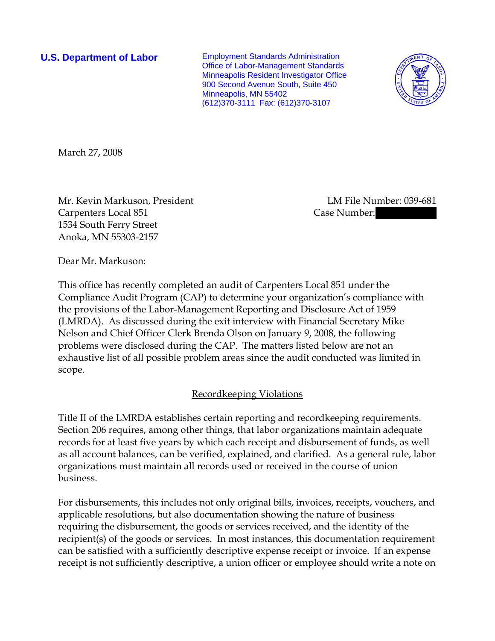**U.S. Department of Labor Employment Standards Administration** Office of Labor-Management Standards Minneapolis Resident Investigator Office 900 Second Avenue South, Suite 450 Minneapolis, MN 55402 (612)370-3111 Fax: (612)370-3107



March 27, 2008

Mr. Kevin Markuson, President LM File Number: 039-681 Carpenters Local 851 Case Number: 1534 South Ferry Street Anoka, MN 55303-2157

Dear Mr. Markuson:

This office has recently completed an audit of Carpenters Local 851 under the Compliance Audit Program (CAP) to determine your organization's compliance with the provisions of the Labor-Management Reporting and Disclosure Act of 1959 (LMRDA). As discussed during the exit interview with Financial Secretary Mike Nelson and Chief Officer Clerk Brenda Olson on January 9, 2008, the following problems were disclosed during the CAP. The matters listed below are not an exhaustive list of all possible problem areas since the audit conducted was limited in scope.

# Recordkeeping Violations

Title II of the LMRDA establishes certain reporting and recordkeeping requirements. Section 206 requires, among other things, that labor organizations maintain adequate records for at least five years by which each receipt and disbursement of funds, as well as all account balances, can be verified, explained, and clarified. As a general rule, labor organizations must maintain all records used or received in the course of union business.

For disbursements, this includes not only original bills, invoices, receipts, vouchers, and applicable resolutions, but also documentation showing the nature of business requiring the disbursement, the goods or services received, and the identity of the recipient(s) of the goods or services. In most instances, this documentation requirement can be satisfied with a sufficiently descriptive expense receipt or invoice. If an expense receipt is not sufficiently descriptive, a union officer or employee should write a note on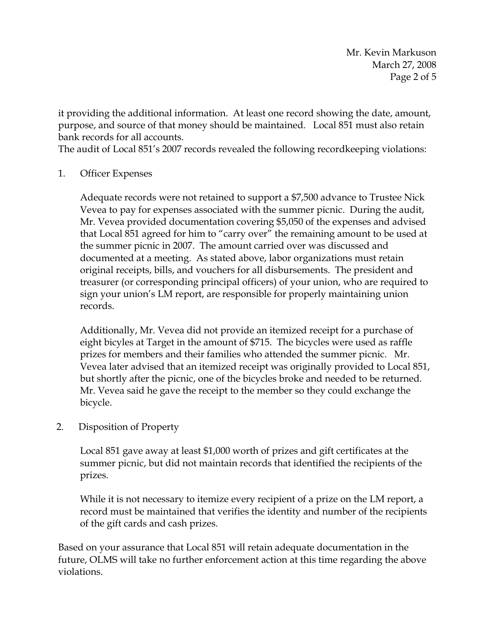Mr. Kevin Markuson March 27, 2008 Page 2 of 5

it providing the additional information. At least one record showing the date, amount, purpose, and source of that money should be maintained. Local 851 must also retain bank records for all accounts.

The audit of Local 851's 2007 records revealed the following recordkeeping violations:

### 1. Officer Expenses

Adequate records were not retained to support a \$7,500 advance to Trustee Nick Vevea to pay for expenses associated with the summer picnic. During the audit, Mr. Vevea provided documentation covering \$5,050 of the expenses and advised that Local 851 agreed for him to "carry over" the remaining amount to be used at the summer picnic in 2007. The amount carried over was discussed and documented at a meeting. As stated above, labor organizations must retain original receipts, bills, and vouchers for all disbursements. The president and treasurer (or corresponding principal officers) of your union, who are required to sign your union's LM report, are responsible for properly maintaining union records.

Additionally, Mr. Vevea did not provide an itemized receipt for a purchase of eight bicyles at Target in the amount of \$715. The bicycles were used as raffle prizes for members and their families who attended the summer picnic. Mr. Vevea later advised that an itemized receipt was originally provided to Local 851, but shortly after the picnic, one of the bicycles broke and needed to be returned. Mr. Vevea said he gave the receipt to the member so they could exchange the bicycle.

### 2. Disposition of Property

Local 851 gave away at least \$1,000 worth of prizes and gift certificates at the summer picnic, but did not maintain records that identified the recipients of the prizes.

While it is not necessary to itemize every recipient of a prize on the LM report, a record must be maintained that verifies the identity and number of the recipients of the gift cards and cash prizes.

Based on your assurance that Local 851 will retain adequate documentation in the future, OLMS will take no further enforcement action at this time regarding the above violations.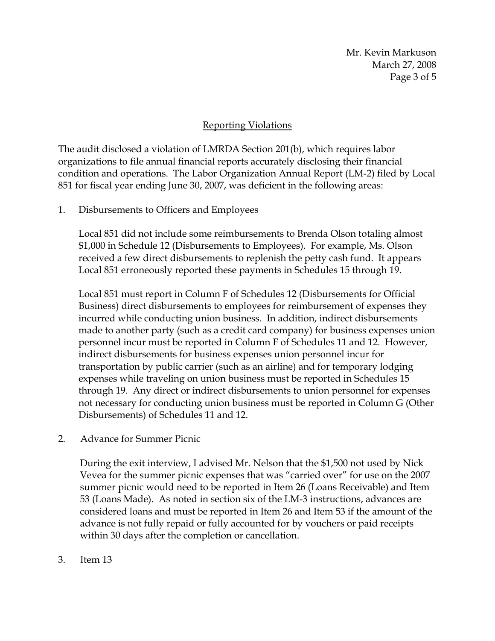Mr. Kevin Markuson March 27, 2008 Page 3 of 5

## Reporting Violations

The audit disclosed a violation of LMRDA Section 201(b), which requires labor organizations to file annual financial reports accurately disclosing their financial condition and operations. The Labor Organization Annual Report (LM-2) filed by Local 851 for fiscal year ending June 30, 2007, was deficient in the following areas:

1. Disbursements to Officers and Employees

Local 851 did not include some reimbursements to Brenda Olson totaling almost \$1,000 in Schedule 12 (Disbursements to Employees). For example, Ms. Olson received a few direct disbursements to replenish the petty cash fund. It appears Local 851 erroneously reported these payments in Schedules 15 through 19.

Local 851 must report in Column F of Schedules 12 (Disbursements for Official Business) direct disbursements to employees for reimbursement of expenses they incurred while conducting union business. In addition, indirect disbursements made to another party (such as a credit card company) for business expenses union personnel incur must be reported in Column F of Schedules 11 and 12. However, indirect disbursements for business expenses union personnel incur for transportation by public carrier (such as an airline) and for temporary lodging expenses while traveling on union business must be reported in Schedules 15 through 19. Any direct or indirect disbursements to union personnel for expenses not necessary for conducting union business must be reported in Column G (Other Disbursements) of Schedules 11 and 12.

2. Advance for Summer Picnic

During the exit interview, I advised Mr. Nelson that the \$1,500 not used by Nick Vevea for the summer picnic expenses that was "carried over" for use on the 2007 summer picnic would need to be reported in Item 26 (Loans Receivable) and Item 53 (Loans Made). As noted in section six of the LM-3 instructions, advances are considered loans and must be reported in Item 26 and Item 53 if the amount of the advance is not fully repaid or fully accounted for by vouchers or paid receipts within 30 days after the completion or cancellation.

3. Item 13